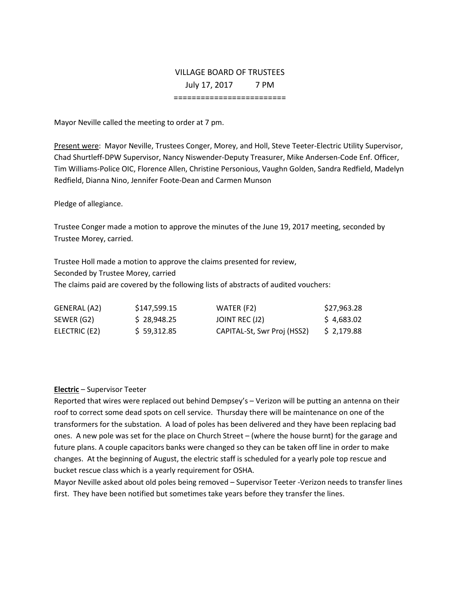# VILLAGE BOARD OF TRUSTEES July 17, 2017 7 PM

=========================

Mayor Neville called the meeting to order at 7 pm.

Present were: Mayor Neville, Trustees Conger, Morey, and Holl, Steve Teeter-Electric Utility Supervisor, Chad Shurtleff-DPW Supervisor, Nancy Niswender-Deputy Treasurer, Mike Andersen-Code Enf. Officer, Tim Williams-Police OIC, Florence Allen, Christine Personious, Vaughn Golden, Sandra Redfield, Madelyn Redfield, Dianna Nino, Jennifer Foote-Dean and Carmen Munson

Pledge of allegiance.

Trustee Conger made a motion to approve the minutes of the June 19, 2017 meeting, seconded by Trustee Morey, carried.

Trustee Holl made a motion to approve the claims presented for review, Seconded by Trustee Morey, carried The claims paid are covered by the following lists of abstracts of audited vouchers:

| GENERAL (A2)  | S <sub>147</sub> .599.15 | WATER (F2)                  | \$27,963.28 |
|---------------|--------------------------|-----------------------------|-------------|
| SEWER (G2)    | S 28.948.25              | JOINT REC (J2)              | \$4,683.02  |
| ELECTRIC (E2) | \$59.312.85              | CAPITAL-St, Swr Proj (HSS2) | \$2,179.88  |

#### **Electric** – Supervisor Teeter

Reported that wires were replaced out behind Dempsey's – Verizon will be putting an antenna on their roof to correct some dead spots on cell service. Thursday there will be maintenance on one of the transformers for the substation. A load of poles has been delivered and they have been replacing bad ones. A new pole was set for the place on Church Street – (where the house burnt) for the garage and future plans. A couple capacitors banks were changed so they can be taken off line in order to make changes. At the beginning of August, the electric staff is scheduled for a yearly pole top rescue and bucket rescue class which is a yearly requirement for OSHA.

Mayor Neville asked about old poles being removed – Supervisor Teeter -Verizon needs to transfer lines first. They have been notified but sometimes take years before they transfer the lines.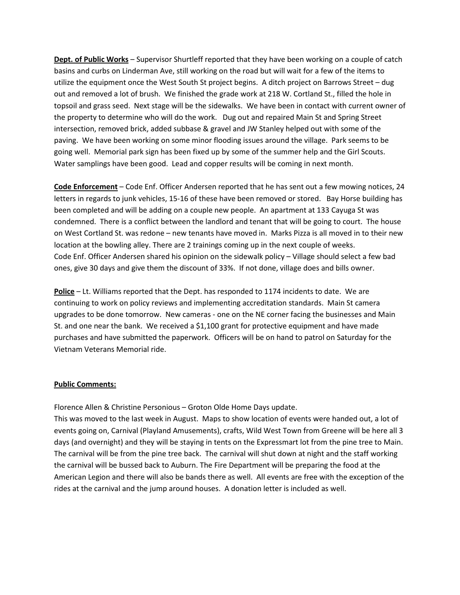**Dept. of Public Works** – Supervisor Shurtleff reported that they have been working on a couple of catch basins and curbs on Linderman Ave, still working on the road but will wait for a few of the items to utilize the equipment once the West South St project begins. A ditch project on Barrows Street – dug out and removed a lot of brush. We finished the grade work at 218 W. Cortland St., filled the hole in topsoil and grass seed. Next stage will be the sidewalks. We have been in contact with current owner of the property to determine who will do the work. Dug out and repaired Main St and Spring Street intersection, removed brick, added subbase & gravel and JW Stanley helped out with some of the paving. We have been working on some minor flooding issues around the village. Park seems to be going well. Memorial park sign has been fixed up by some of the summer help and the Girl Scouts. Water samplings have been good. Lead and copper results will be coming in next month.

**Code Enforcement** – Code Enf. Officer Andersen reported that he has sent out a few mowing notices, 24 letters in regards to junk vehicles, 15-16 of these have been removed or stored. Bay Horse building has been completed and will be adding on a couple new people. An apartment at 133 Cayuga St was condemned. There is a conflict between the landlord and tenant that will be going to court. The house on West Cortland St. was redone – new tenants have moved in. Marks Pizza is all moved in to their new location at the bowling alley. There are 2 trainings coming up in the next couple of weeks. Code Enf. Officer Andersen shared his opinion on the sidewalk policy – Village should select a few bad ones, give 30 days and give them the discount of 33%. If not done, village does and bills owner.

**Police** – Lt. Williams reported that the Dept. has responded to 1174 incidents to date. We are continuing to work on policy reviews and implementing accreditation standards. Main St camera upgrades to be done tomorrow. New cameras - one on the NE corner facing the businesses and Main St. and one near the bank. We received a \$1,100 grant for protective equipment and have made purchases and have submitted the paperwork. Officers will be on hand to patrol on Saturday for the Vietnam Veterans Memorial ride.

# **Public Comments:**

Florence Allen & Christine Personious – Groton Olde Home Days update.

This was moved to the last week in August. Maps to show location of events were handed out, a lot of events going on, Carnival (Playland Amusements), crafts, Wild West Town from Greene will be here all 3 days (and overnight) and they will be staying in tents on the Expressmart lot from the pine tree to Main. The carnival will be from the pine tree back. The carnival will shut down at night and the staff working the carnival will be bussed back to Auburn. The Fire Department will be preparing the food at the American Legion and there will also be bands there as well. All events are free with the exception of the rides at the carnival and the jump around houses. A donation letter is included as well.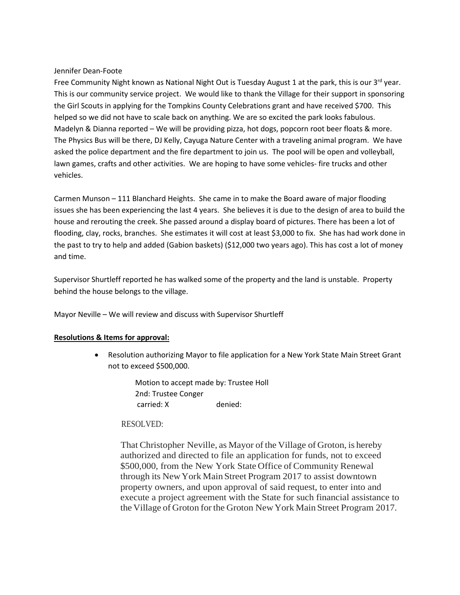## Jennifer Dean-Foote

Free Community Night known as National Night Out is Tuesday August 1 at the park, this is our 3<sup>rd</sup> year. This is our community service project. We would like to thank the Village for their support in sponsoring the Girl Scouts in applying for the Tompkins County Celebrations grant and have received \$700. This helped so we did not have to scale back on anything. We are so excited the park looks fabulous. Madelyn & Dianna reported – We will be providing pizza, hot dogs, popcorn root beer floats & more. The Physics Bus will be there, DJ Kelly, Cayuga Nature Center with a traveling animal program. We have asked the police department and the fire department to join us. The pool will be open and volleyball, lawn games, crafts and other activities. We are hoping to have some vehicles- fire trucks and other vehicles.

Carmen Munson – 111 Blanchard Heights. She came in to make the Board aware of major flooding issues she has been experiencing the last 4 years. She believes it is due to the design of area to build the house and rerouting the creek. She passed around a display board of pictures. There has been a lot of flooding, clay, rocks, branches. She estimates it will cost at least \$3,000 to fix. She has had work done in the past to try to help and added (Gabion baskets) (\$12,000 two years ago). This has cost a lot of money and time.

Supervisor Shurtleff reported he has walked some of the property and the land is unstable. Property behind the house belongs to the village.

Mayor Neville – We will review and discuss with Supervisor Shurtleff

# **Resolutions & Items for approval:**

• Resolution authorizing Mayor to file application for a New York State Main Street Grant not to exceed \$500,000.

> Motion to accept made by: Trustee Holl 2nd: Trustee Conger carried: X denied:

# RESOLVED:

That Christopher Neville, as Mayor of the Village of Groton, is hereby authorized and directed to file an application for funds, not to exceed \$500,000, from the New York State Office of Community Renewal through its NewYork MainStreet Program 2017 to assist downtown property owners, and upon approval of said request, to enter into and execute a project agreement with the State for such financial assistance to the Village of Groton forthe Groton NewYork Main Street Program 2017.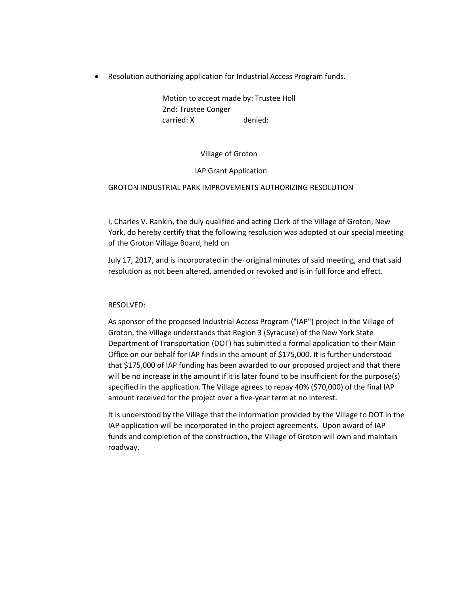• Resolution authorizing application for Industrial Access Program funds.

Motion to accept made by: Trustee Holl 2nd: Trustee Conger carried: X denied:

Village of Groton

## IAP Grant Application

# GROTON INDUSTRIAL PARK IMPROVEMENTS AUTHORIZING RESOLUTION

I, Charles V. Rankin, the duly qualified and acting Clerk of the Village of Groton, New York, do hereby certify that the following resolution was adopted at our special meeting of the Groton Village Board, held on

July 17, 2017, and is incorporated in the· original minutes of said meeting, and that said resolution as not been altered, amended or revoked and is in full force and effect.

# RESOLVED:

As sponsor of the proposed Industrial Access Program ("IAP") project in the Village of Groton, the Village understands that Region 3 (Syracuse) of the New York State Department of Transportation (DOT) has submitted a formal application to their Main Office on our behalf for IAP finds in the amount of \$175,000. It is further understood that \$175,000 of IAP funding has been awarded to our proposed project and that there will be no increase in the amount if it is later found to be insufficient for the purpose(s) specified in the application. The Village agrees to repay 40% (\$70,000) of the final IAP amount received for the project over a five-year term at no interest.

It is understood by the Village that the information provided by the Village to DOT in the IAP application will be incorporated in the project agreements. Upon award of IAP funds and completion of the construction, the Village of Groton will own and maintain roadway.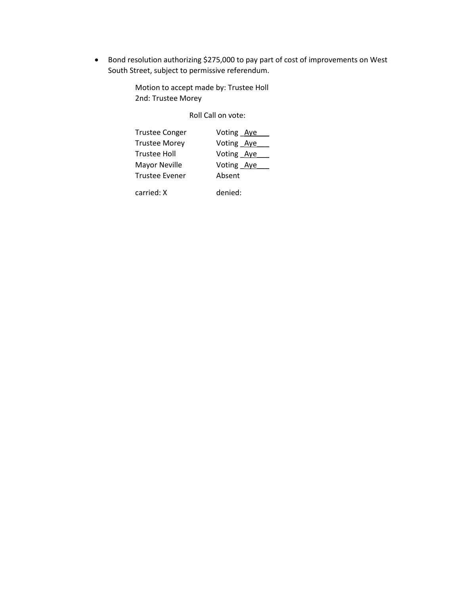• Bond resolution authorizing \$275,000 to pay part of cost of improvements on West South Street, subject to permissive referendum.

> Motion to accept made by: Trustee Holl 2nd: Trustee Morey

> > Roll Call on vote:

| <b>Trustee Conger</b> | Voting Aye |  |
|-----------------------|------------|--|
| <b>Trustee Morey</b>  | Voting Aye |  |
| Trustee Holl          | Voting Aye |  |
| Mayor Neville         | Voting Aye |  |
| <b>Trustee Evener</b> | Absent     |  |
| carried: X            | denied:    |  |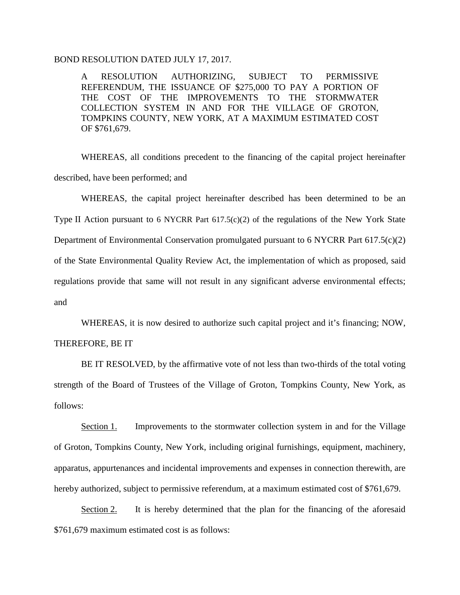# BOND RESOLUTION DATED JULY 17, 2017.

A RESOLUTION AUTHORIZING, SUBJECT TO PERMISSIVE REFERENDUM, THE ISSUANCE OF \$275,000 TO PAY A PORTION OF THE COST OF THE IMPROVEMENTS TO THE STORMWATER COLLECTION SYSTEM IN AND FOR THE VILLAGE OF GROTON, TOMPKINS COUNTY, NEW YORK, AT A MAXIMUM ESTIMATED COST OF \$761,679.

WHEREAS, all conditions precedent to the financing of the capital project hereinafter described, have been performed; and

WHEREAS, the capital project hereinafter described has been determined to be an Type II Action pursuant to 6 NYCRR Part 617.5(c)(2) of the regulations of the New York State Department of Environmental Conservation promulgated pursuant to 6 NYCRR Part 617.5(c)(2) of the State Environmental Quality Review Act, the implementation of which as proposed, said regulations provide that same will not result in any significant adverse environmental effects; and

WHEREAS, it is now desired to authorize such capital project and it's financing; NOW,

# THEREFORE, BE IT

BE IT RESOLVED, by the affirmative vote of not less than two-thirds of the total voting strength of the Board of Trustees of the Village of Groton, Tompkins County, New York, as follows:

Section 1. Improvements to the stormwater collection system in and for the Village of Groton, Tompkins County, New York, including original furnishings, equipment, machinery, apparatus, appurtenances and incidental improvements and expenses in connection therewith, are hereby authorized, subject to permissive referendum, at a maximum estimated cost of \$761,679.

Section 2. It is hereby determined that the plan for the financing of the aforesaid \$761,679 maximum estimated cost is as follows: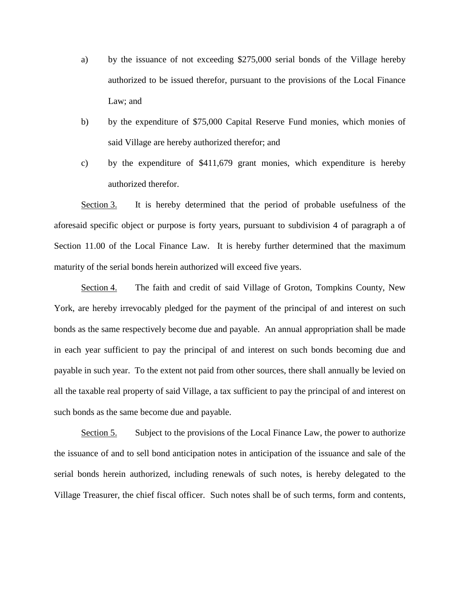- a) by the issuance of not exceeding \$275,000 serial bonds of the Village hereby authorized to be issued therefor, pursuant to the provisions of the Local Finance Law; and
- b) by the expenditure of \$75,000 Capital Reserve Fund monies, which monies of said Village are hereby authorized therefor; and
- c) by the expenditure of \$411,679 grant monies, which expenditure is hereby authorized therefor.

Section 3. It is hereby determined that the period of probable usefulness of the aforesaid specific object or purpose is forty years, pursuant to subdivision 4 of paragraph a of Section 11.00 of the Local Finance Law. It is hereby further determined that the maximum maturity of the serial bonds herein authorized will exceed five years.

Section 4. The faith and credit of said Village of Groton, Tompkins County, New York, are hereby irrevocably pledged for the payment of the principal of and interest on such bonds as the same respectively become due and payable. An annual appropriation shall be made in each year sufficient to pay the principal of and interest on such bonds becoming due and payable in such year. To the extent not paid from other sources, there shall annually be levied on all the taxable real property of said Village, a tax sufficient to pay the principal of and interest on such bonds as the same become due and payable.

Section 5. Subject to the provisions of the Local Finance Law, the power to authorize the issuance of and to sell bond anticipation notes in anticipation of the issuance and sale of the serial bonds herein authorized, including renewals of such notes, is hereby delegated to the Village Treasurer, the chief fiscal officer. Such notes shall be of such terms, form and contents,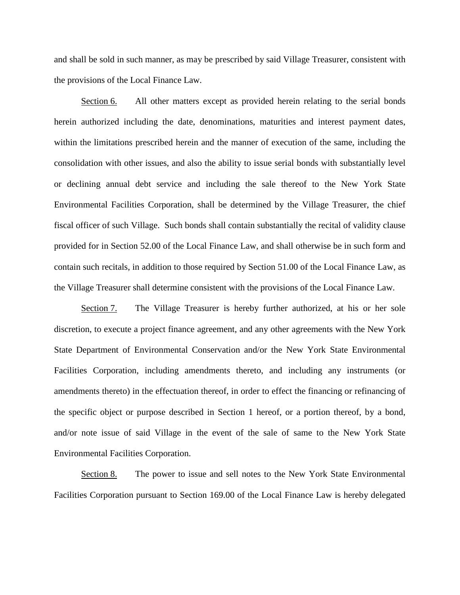and shall be sold in such manner, as may be prescribed by said Village Treasurer, consistent with the provisions of the Local Finance Law.

Section 6. All other matters except as provided herein relating to the serial bonds herein authorized including the date, denominations, maturities and interest payment dates, within the limitations prescribed herein and the manner of execution of the same, including the consolidation with other issues, and also the ability to issue serial bonds with substantially level or declining annual debt service and including the sale thereof to the New York State Environmental Facilities Corporation, shall be determined by the Village Treasurer, the chief fiscal officer of such Village. Such bonds shall contain substantially the recital of validity clause provided for in Section 52.00 of the Local Finance Law, and shall otherwise be in such form and contain such recitals, in addition to those required by Section 51.00 of the Local Finance Law, as the Village Treasurer shall determine consistent with the provisions of the Local Finance Law.

Section 7. The Village Treasurer is hereby further authorized, at his or her sole discretion, to execute a project finance agreement, and any other agreements with the New York State Department of Environmental Conservation and/or the New York State Environmental Facilities Corporation, including amendments thereto, and including any instruments (or amendments thereto) in the effectuation thereof, in order to effect the financing or refinancing of the specific object or purpose described in Section 1 hereof, or a portion thereof, by a bond, and/or note issue of said Village in the event of the sale of same to the New York State Environmental Facilities Corporation.

Section 8. The power to issue and sell notes to the New York State Environmental Facilities Corporation pursuant to Section 169.00 of the Local Finance Law is hereby delegated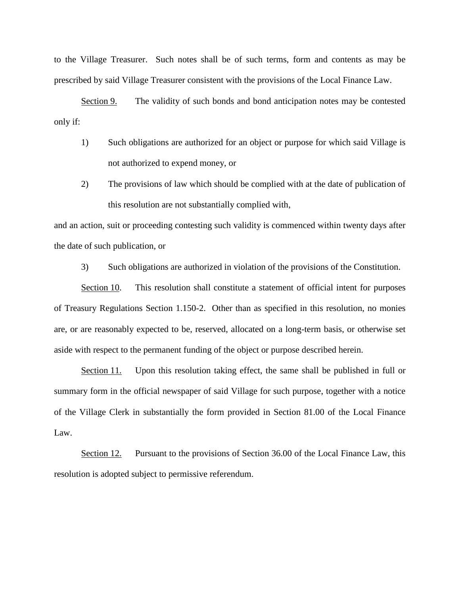to the Village Treasurer. Such notes shall be of such terms, form and contents as may be prescribed by said Village Treasurer consistent with the provisions of the Local Finance Law.

Section 9. The validity of such bonds and bond anticipation notes may be contested only if:

- 1) Such obligations are authorized for an object or purpose for which said Village is not authorized to expend money, or
- 2) The provisions of law which should be complied with at the date of publication of this resolution are not substantially complied with,

and an action, suit or proceeding contesting such validity is commenced within twenty days after the date of such publication, or

3) Such obligations are authorized in violation of the provisions of the Constitution.

Section 10. This resolution shall constitute a statement of official intent for purposes of Treasury Regulations Section 1.150-2. Other than as specified in this resolution, no monies are, or are reasonably expected to be, reserved, allocated on a long-term basis, or otherwise set aside with respect to the permanent funding of the object or purpose described herein.

Section 11. Upon this resolution taking effect, the same shall be published in full or summary form in the official newspaper of said Village for such purpose, together with a notice of the Village Clerk in substantially the form provided in Section 81.00 of the Local Finance Law.

Section 12. Pursuant to the provisions of Section 36.00 of the Local Finance Law, this resolution is adopted subject to permissive referendum.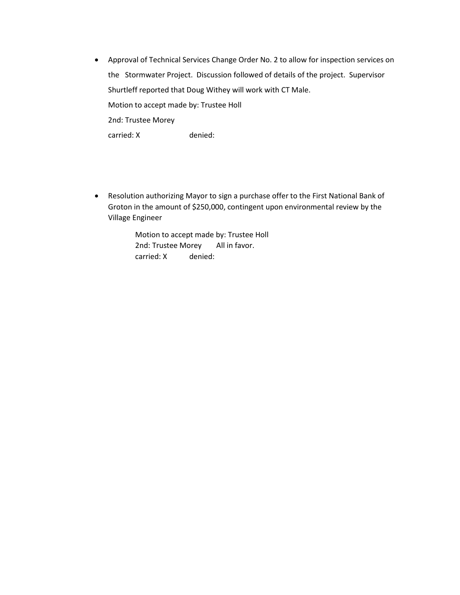- Approval of Technical Services Change Order No. 2 to allow for inspection services on the Stormwater Project. Discussion followed of details of the project. Supervisor Shurtleff reported that Doug Withey will work with CT Male. Motion to accept made by: Trustee Holl 2nd: Trustee Morey carried: X denied:
- Resolution authorizing Mayor to sign a purchase offer to the First National Bank of Groton in the amount of \$250,000, contingent upon environmental review by the Village Engineer

Motion to accept made by: Trustee Holl 2nd: Trustee Morey All in favor. carried: X denied: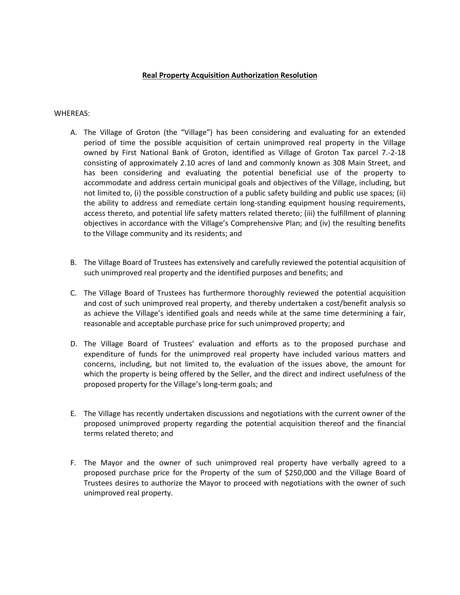## **Real Property Acquisition Authorization Resolution**

#### WHEREAS:

- A. The Village of Groton (the "Village") has been considering and evaluating for an extended period of time the possible acquisition of certain unimproved real property in the Village owned by First National Bank of Groton, identified as Village of Groton Tax parcel 7.-2-18 consisting of approximately 2.10 acres of land and commonly known as 308 Main Street, and has been considering and evaluating the potential beneficial use of the property to accommodate and address certain municipal goals and objectives of the Village, including, but not limited to, (i) the possible construction of a public safety building and public use spaces; (ii) the ability to address and remediate certain long-standing equipment housing requirements, access thereto, and potential life safety matters related thereto; (iii) the fulfillment of planning objectives in accordance with the Village's Comprehensive Plan; and (iv) the resulting benefits to the Village community and its residents; and
- B. The Village Board of Trustees has extensively and carefully reviewed the potential acquisition of such unimproved real property and the identified purposes and benefits; and
- C. The Village Board of Trustees has furthermore thoroughly reviewed the potential acquisition and cost of such unimproved real property, and thereby undertaken a cost/benefit analysis so as achieve the Village's identified goals and needs while at the same time determining a fair, reasonable and acceptable purchase price for such unimproved property; and
- D. The Village Board of Trustees' evaluation and efforts as to the proposed purchase and expenditure of funds for the unimproved real property have included various matters and concerns, including, but not limited to, the evaluation of the issues above, the amount for which the property is being offered by the Seller, and the direct and indirect usefulness of the proposed property for the Village's long-term goals; and
- E. The Village has recently undertaken discussions and negotiations with the current owner of the proposed unimproved property regarding the potential acquisition thereof and the financial terms related thereto; and
- F. The Mayor and the owner of such unimproved real property have verbally agreed to a proposed purchase price for the Property of the sum of \$250,000 and the Village Board of Trustees desires to authorize the Mayor to proceed with negotiations with the owner of such unimproved real property.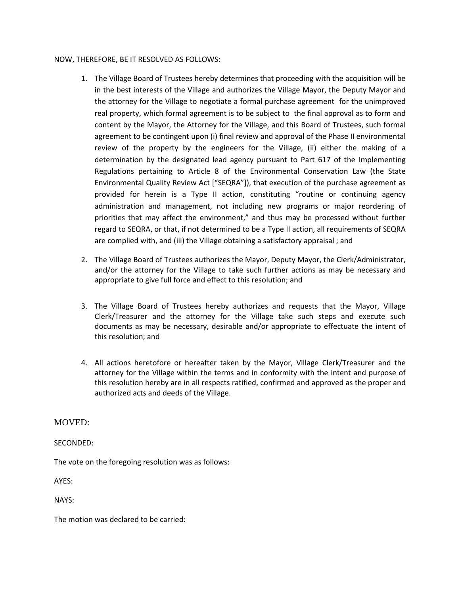## NOW, THEREFORE, BE IT RESOLVED AS FOLLOWS:

- 1. The Village Board of Trustees hereby determines that proceeding with the acquisition will be in the best interests of the Village and authorizes the Village Mayor, the Deputy Mayor and the attorney for the Village to negotiate a formal purchase agreement for the unimproved real property, which formal agreement is to be subject to the final approval as to form and content by the Mayor, the Attorney for the Village, and this Board of Trustees, such formal agreement to be contingent upon (i) final review and approval of the Phase II environmental review of the property by the engineers for the Village, (ii) either the making of a determination by the designated lead agency pursuant to Part 617 of the Implementing Regulations pertaining to Article 8 of the Environmental Conservation Law (the State Environmental Quality Review Act ["SEQRA"]), that execution of the purchase agreement as provided for herein is a Type II action, constituting "routine or continuing agency administration and management, not including new programs or major reordering of priorities that may affect the environment," and thus may be processed without further regard to SEQRA, or that, if not determined to be a Type II action, all requirements of SEQRA are complied with, and (iii) the Village obtaining a satisfactory appraisal ; and
- 2. The Village Board of Trustees authorizes the Mayor, Deputy Mayor, the Clerk/Administrator, and/or the attorney for the Village to take such further actions as may be necessary and appropriate to give full force and effect to this resolution; and
- 3. The Village Board of Trustees hereby authorizes and requests that the Mayor, Village Clerk/Treasurer and the attorney for the Village take such steps and execute such documents as may be necessary, desirable and/or appropriate to effectuate the intent of this resolution; and
- 4. All actions heretofore or hereafter taken by the Mayor, Village Clerk/Treasurer and the attorney for the Village within the terms and in conformity with the intent and purpose of this resolution hereby are in all respects ratified, confirmed and approved as the proper and authorized acts and deeds of the Village.

# MOVED:

# SECONDED:

The vote on the foregoing resolution was as follows:

AYES:

NAYS:

The motion was declared to be carried: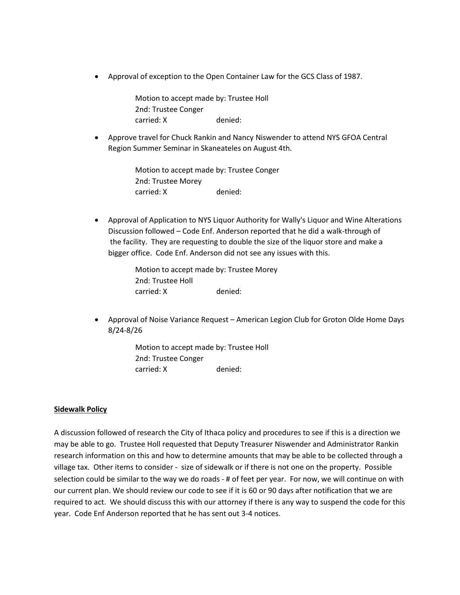• Approval of exception to the Open Container Law for the GCS Class of 1987.

Motion to accept made by: Trustee Holl 2nd: Trustee Conger carried: X denied:

• Approve travel for Chuck Rankin and Nancy Niswender to attend NYS GFOA Central Region Summer Seminar in Skaneateles on August 4th.

> Motion to accept made by: Trustee Conger 2nd: Trustee Morey carried: X denied:

• Approval of Application to NYS Liquor Authority for Wally's Liquor and Wine Alterations Discussion followed – Code Enf. Anderson reported that he did a walk-through of the facility. They are requesting to double the size of the liquor store and make a bigger office. Code Enf. Anderson did not see any issues with this.

> Motion to accept made by: Trustee Morey 2nd: Trustee Holl carried: X denied:

• Approval of Noise Variance Request – American Legion Club for Groton Olde Home Days 8/24-8/26

> Motion to accept made by: Trustee Holl 2nd: Trustee Conger carried: X denied:

# **Sidewalk Policy**

A discussion followed of research the City of Ithaca policy and procedures to see if this is a direction we may be able to go. Trustee Holl requested that Deputy Treasurer Niswender and Administrator Rankin research information on this and how to determine amounts that may be able to be collected through a village tax. Other items to consider - size of sidewalk or if there is not one on the property. Possible selection could be similar to the way we do roads - # of feet per year. For now, we will continue on with our current plan. We should review our code to see if it is 60 or 90 days after notification that we are required to act. We should discuss this with our attorney if there is any way to suspend the code for this year. Code Enf Anderson reported that he has sent out 3-4 notices.